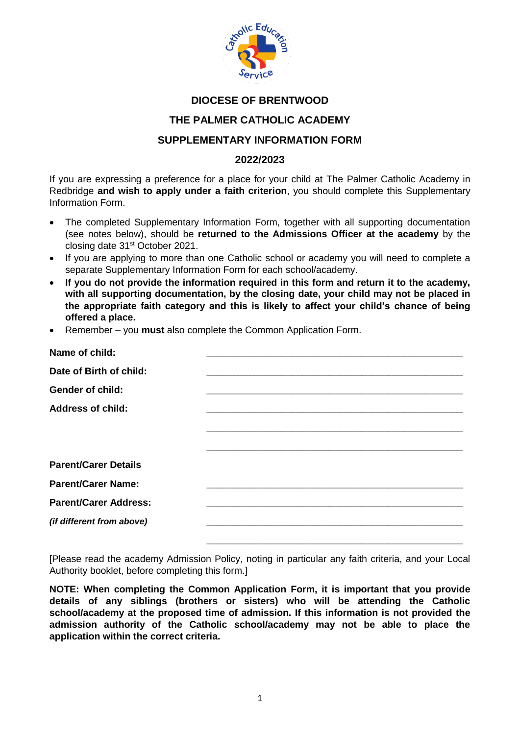

### **DIOCESE OF BRENTWOOD**

### **THE PALMER CATHOLIC ACADEMY**

# **SUPPLEMENTARY INFORMATION FORM**

#### **2022/2023**

If you are expressing a preference for a place for your child at The Palmer Catholic Academy in Redbridge **and wish to apply under a faith criterion**, you should complete this Supplementary Information Form.

- The completed Supplementary Information Form, together with all supporting documentation (see notes below), should be **returned to the Admissions Officer at the academy** by the closing date 31st October 2021.
- If you are applying to more than one Catholic school or academy you will need to complete a separate Supplementary Information Form for each school/academy.
- **If you do not provide the information required in this form and return it to the academy, with all supporting documentation, by the closing date, your child may not be placed in the appropriate faith category and this is likely to affect your child's chance of being offered a place.**
- Remember you **must** also complete the Common Application Form.

| Name of child:               |  |
|------------------------------|--|
| Date of Birth of child:      |  |
| <b>Gender of child:</b>      |  |
| <b>Address of child:</b>     |  |
|                              |  |
|                              |  |
| <b>Parent/Carer Details</b>  |  |
| <b>Parent/Carer Name:</b>    |  |
| <b>Parent/Carer Address:</b> |  |
| (if different from above)    |  |
|                              |  |

[Please read the academy Admission Policy, noting in particular any faith criteria, and your Local Authority booklet, before completing this form.]

**NOTE: When completing the Common Application Form, it is important that you provide details of any siblings (brothers or sisters) who will be attending the Catholic school/academy at the proposed time of admission. If this information is not provided the admission authority of the Catholic school/academy may not be able to place the application within the correct criteria.**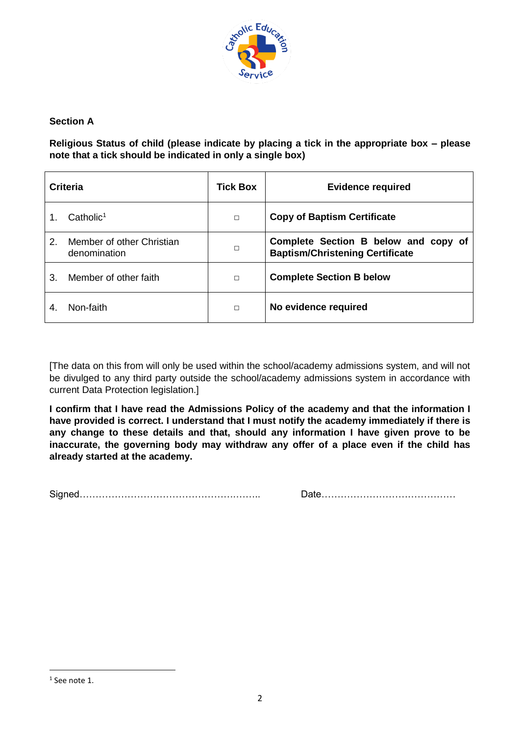

# **Section A**

**Religious Status of child (please indicate by placing a tick in the appropriate box – please note that a tick should be indicated in only a single box)**

|                | Criteria                                  | <b>Tick Box</b> | <b>Evidence required</b>                                                       |  |
|----------------|-------------------------------------------|-----------------|--------------------------------------------------------------------------------|--|
|                | Catholic <sup>1</sup>                     | $\Box$          | <b>Copy of Baptism Certificate</b>                                             |  |
| 2 <sub>1</sub> | Member of other Christian<br>denomination | $\Box$          | Complete Section B below and copy of<br><b>Baptism/Christening Certificate</b> |  |
| 3.             | Member of other faith                     | $\Box$          | <b>Complete Section B below</b>                                                |  |
|                | Non-faith                                 | $\Box$          | No evidence required                                                           |  |

[The data on this from will only be used within the school/academy admissions system, and will not be divulged to any third party outside the school/academy admissions system in accordance with current Data Protection legislation.]

**I confirm that I have read the Admissions Policy of the academy and that the information I have provided is correct. I understand that I must notify the academy immediately if there is any change to these details and that, should any information I have given prove to be inaccurate, the governing body may withdraw any offer of a place even if the child has already started at the academy.**

Signed………………………………………….…….. Date……………………………………

**.** 

<sup>1</sup> See note 1.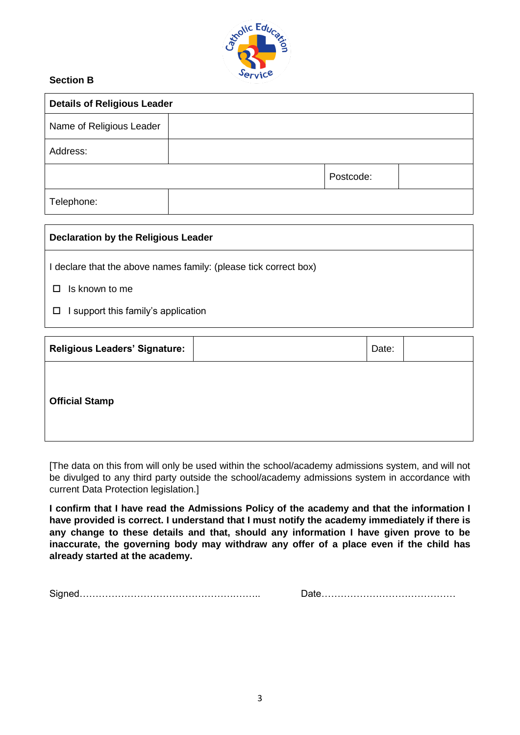

# **Section B**

| <b>Details of Religious Leader</b> |  |           |  |  |  |  |
|------------------------------------|--|-----------|--|--|--|--|
| Name of Religious Leader           |  |           |  |  |  |  |
| Address:                           |  |           |  |  |  |  |
|                                    |  | Postcode: |  |  |  |  |
| Telephone:                         |  |           |  |  |  |  |

| Declaration by the Religious Leader                              |  |  |
|------------------------------------------------------------------|--|--|
| I declare that the above names family: (please tick correct box) |  |  |
| Is known to me                                                   |  |  |
| support this family's application                                |  |  |

| <b>Religious Leaders' Signature:</b> |  | Date: |  |  |  |  |  |  |
|--------------------------------------|--|-------|--|--|--|--|--|--|
|                                      |  |       |  |  |  |  |  |  |
| <b>Official Stamp</b>                |  |       |  |  |  |  |  |  |
|                                      |  |       |  |  |  |  |  |  |

[The data on this from will only be used within the school/academy admissions system, and will not be divulged to any third party outside the school/academy admissions system in accordance with current Data Protection legislation.]

**I confirm that I have read the Admissions Policy of the academy and that the information I have provided is correct. I understand that I must notify the academy immediately if there is any change to these details and that, should any information I have given prove to be inaccurate, the governing body may withdraw any offer of a place even if the child has already started at the academy.**

Signed………………………………………….…….. Date……………………………………